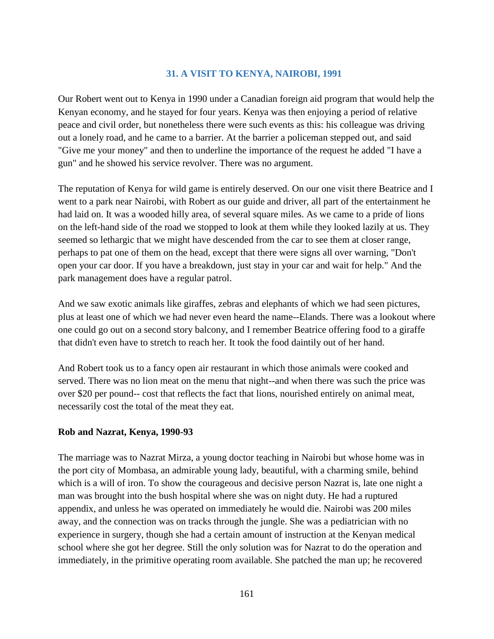## **31. A VISIT TO KENYA, NAIROBI, 1991**

Our Robert went out to Kenya in 1990 under a Canadian foreign aid program that would help the Kenyan economy, and he stayed for four years. Kenya was then enjoying a period of relative peace and civil order, but nonetheless there were such events as this: his colleague was driving out a lonely road, and he came to a barrier. At the barrier a policeman stepped out, and said "Give me your money" and then to underline the importance of the request he added "I have a gun" and he showed his service revolver. There was no argument.

The reputation of Kenya for wild game is entirely deserved. On our one visit there Beatrice and I went to a park near Nairobi, with Robert as our guide and driver, all part of the entertainment he had laid on. It was a wooded hilly area, of several square miles. As we came to a pride of lions on the left-hand side of the road we stopped to look at them while they looked lazily at us. They seemed so lethargic that we might have descended from the car to see them at closer range, perhaps to pat one of them on the head, except that there were signs all over warning, "Don't open your car door. If you have a breakdown, just stay in your car and wait for help." And the park management does have a regular patrol.

And we saw exotic animals like giraffes, zebras and elephants of which we had seen pictures, plus at least one of which we had never even heard the name--Elands. There was a lookout where one could go out on a second story balcony, and I remember Beatrice offering food to a giraffe that didn't even have to stretch to reach her. It took the food daintily out of her hand.

And Robert took us to a fancy open air restaurant in which those animals were cooked and served. There was no lion meat on the menu that night--and when there was such the price was over \$20 per pound-- cost that reflects the fact that lions, nourished entirely on animal meat, necessarily cost the total of the meat they eat.

## **Rob and Nazrat, Kenya, 1990-93**

The marriage was to Nazrat Mirza, a young doctor teaching in Nairobi but whose home was in the port city of Mombasa, an admirable young lady, beautiful, with a charming smile, behind which is a will of iron. To show the courageous and decisive person Nazrat is, late one night a man was brought into the bush hospital where she was on night duty. He had a ruptured appendix, and unless he was operated on immediately he would die. Nairobi was 200 miles away, and the connection was on tracks through the jungle. She was a pediatrician with no experience in surgery, though she had a certain amount of instruction at the Kenyan medical school where she got her degree. Still the only solution was for Nazrat to do the operation and immediately, in the primitive operating room available. She patched the man up; he recovered